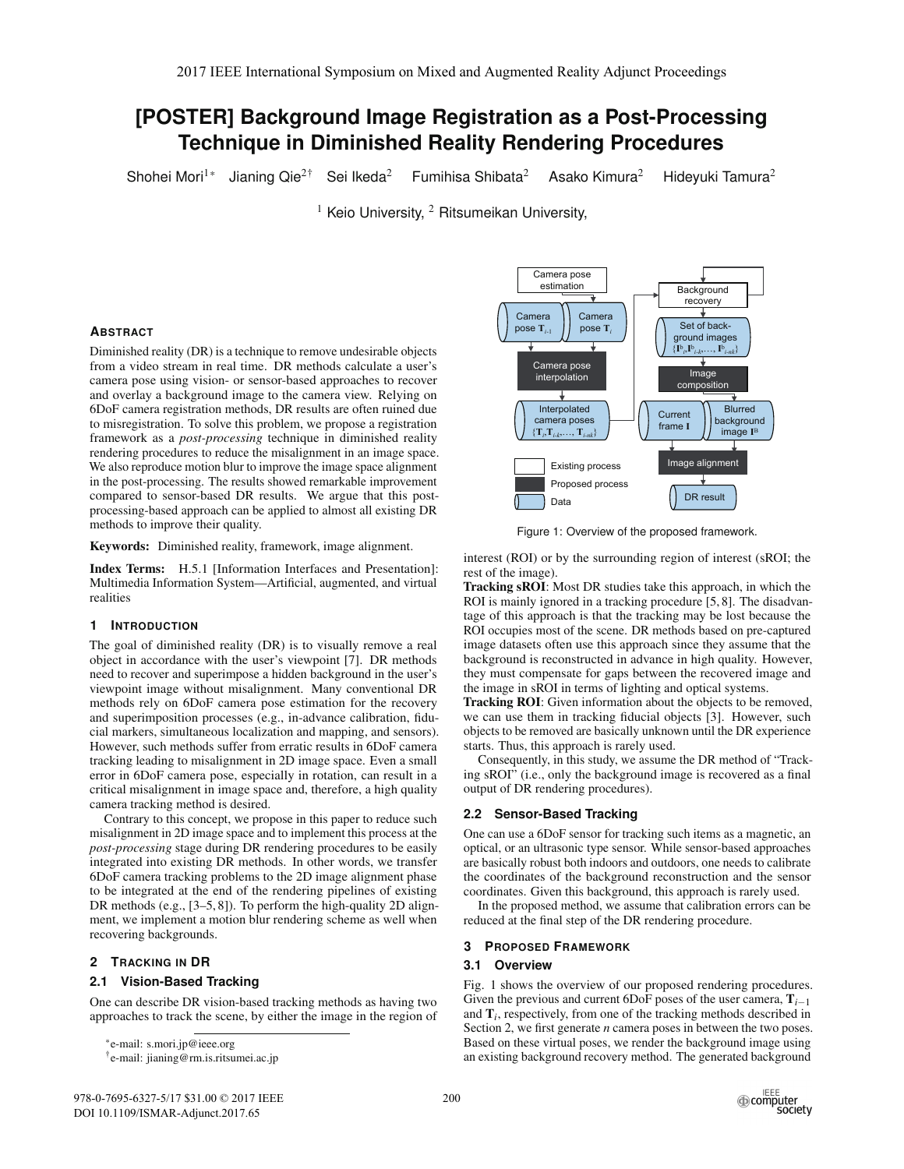# **[POSTER] Background Image Registration as a Post-Processing Technique in Diminished Reality Rendering Procedures**

Shohei Mori<sup>1\*</sup> Jianing Qie<sup>2†</sup> Sei Ikeda<sup>2</sup> Fumihisa Shibata<sup>2</sup> Asako Kimura<sup>2</sup> Hideyuki Tamura<sup>2</sup>

<sup>1</sup> Keio University, <sup>2</sup> Ritsumeikan University,

# **ABSTRACT**

Diminished reality (DR) is a technique to remove undesirable objects from a video stream in real time. DR methods calculate a user's camera pose using vision- or sensor-based approaches to recover and overlay a background image to the camera view. Relying on 6DoF camera registration methods, DR results are often ruined due to misregistration. To solve this problem, we propose a registration framework as a *post-processing* technique in diminished reality rendering procedures to reduce the misalignment in an image space. We also reproduce motion blur to improve the image space alignment in the post-processing. The results showed remarkable improvement compared to sensor-based DR results. We argue that this postprocessing-based approach can be applied to almost all existing DR methods to improve their quality.

Keywords: Diminished reality, framework, image alignment.

Index Terms: H.5.1 [Information Interfaces and Presentation]: Multimedia Information System—Artificial, augmented, and virtual realities

# **1 INTRODUCTION**

The goal of diminished reality (DR) is to visually remove a real object in accordance with the user's viewpoint [7]. DR methods need to recover and superimpose a hidden background in the user's viewpoint image without misalignment. Many conventional DR methods rely on 6DoF camera pose estimation for the recovery and superimposition processes (e.g., in-advance calibration, fiducial markers, simultaneous localization and mapping, and sensors). However, such methods suffer from erratic results in 6DoF camera tracking leading to misalignment in 2D image space. Even a small error in 6DoF camera pose, especially in rotation, can result in a critical misalignment in image space and, therefore, a high quality camera tracking method is desired.

Contrary to this concept, we propose in this paper to reduce such misalignment in 2D image space and to implement this process at the *post-processing* stage during DR rendering procedures to be easily integrated into existing DR methods. In other words, we transfer 6DoF camera tracking problems to the 2D image alignment phase to be integrated at the end of the rendering pipelines of existing DR methods (e.g., [3–5, 8]). To perform the high-quality 2D alignment, we implement a motion blur rendering scheme as well when recovering backgrounds.

# **2 TRACKING IN DR**

# **2.1 Vision-Based Tracking**

One can describe DR vision-based tracking methods as having two approaches to track the scene, by either the image in the region of

\*e-mail: s.mori.jp@ieee.org

†e-mail: jianing@rm.is.ritsumei.ac.jp



Figure 1: Overview of the proposed framework.

interest (ROI) or by the surrounding region of interest (sROI; the rest of the image).

Tracking sROI: Most DR studies take this approach, in which the ROI is mainly ignored in a tracking procedure [5, 8]. The disadvantage of this approach is that the tracking may be lost because the ROI occupies most of the scene. DR methods based on pre-captured image datasets often use this approach since they assume that the background is reconstructed in advance in high quality. However, they must compensate for gaps between the recovered image and the image in sROI in terms of lighting and optical systems.

Tracking ROI: Given information about the objects to be removed, we can use them in tracking fiducial objects [3]. However, such objects to be removed are basically unknown until the DR experience starts. Thus, this approach is rarely used.

Consequently, in this study, we assume the DR method of "Tracking sROI" (i.e., only the background image is recovered as a final output of DR rendering procedures).

# **2.2 Sensor-Based Tracking**

One can use a 6DoF sensor for tracking such items as a magnetic, an optical, or an ultrasonic type sensor. While sensor-based approaches are basically robust both indoors and outdoors, one needs to calibrate the coordinates of the background reconstruction and the sensor coordinates. Given this background, this approach is rarely used.

In the proposed method, we assume that calibration errors can be reduced at the final step of the DR rendering procedure.

# **3 PROPOSED FRAMEWORK**

# **3.1 Overview**

Fig. 1 shows the overview of our proposed rendering procedures. Given the previous and current 6DoF poses of the user camera,  $\mathbf{T}_{i-1}$ and T*i*, respectively, from one of the tracking methods described in Section 2, we first generate *n* camera poses in between the two poses. Based on these virtual poses, we render the background image using an existing background recovery method. The generated background